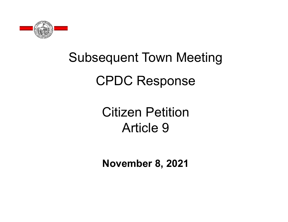

# Subsequent Town Meeting CPDC Response

# Citizen PetitionArticle 9

**November 8, 2021**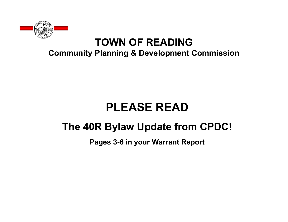

#### **TOWN OF READINGCommunity Planning & Development Commission**

# **PLEASE READ**

#### **The 40R Bylaw Update from CPDC!**

**Pages 3-6 in your Warrant Report**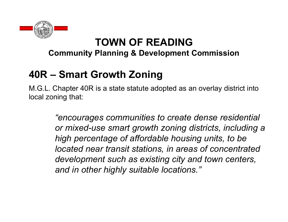

#### **Community Planning & Development Commission**

# **40R – Smart Growth Zoning**

M.G.L. Chapter 40R is a state statute adopted as an overlay district into local zoning that:

> *"encourages communities to create dense residential or mixed-use smart growth zoning districts, including a high percentage of affordable housing units, to be located near transit stations, in areas of concentrated development such as existing city and town centers, and in other highly suitable locations."*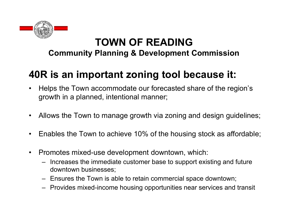

#### **Community Planning & Development Commission**

#### **40R is an important zoning tool because it:**

- $\bullet$  Helps the Town accommodate our forecasted share of the region's growth in a planned, intentional manner;
- $\bullet$ Allows the Town to manage growth via zoning and design guidelines;
- $\bullet$ Enables the Town to achieve 10% of the housing stock as affordable;
- $\bullet$  Promotes mixed-use development downtown, which:
	- – Increases the immediate customer base to support existing and future downtown businesses;
	- Ensures the Town is able to retain commercial space downtown;
	- Provides mixed-income housing opportunities near services and transit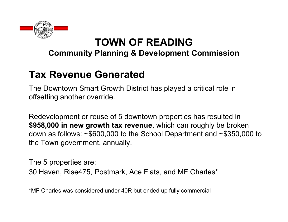

#### **Community Planning & Development Commission**

#### **Tax Revenue Generated**

The Downtown Smart Growth District has played a critical role in offsetting another override.

Redevelopment or reuse of 5 downtown properties has resulted in **\$958,000 in new growth tax revenue**, which can roughly be broken down as follows: ~\$600,000 to the School Department and ~\$350,000 to the Town government, annually.

The 5 properties are: 30 Haven, Rise475, Postmark, Ace Flats, and MF Charles\*

\*MF Charles was considered under 40R but ended up fully commercial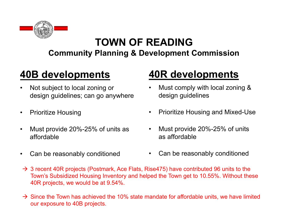

#### **Community Planning & Development Commission**

#### **40B developments**

- • Not subject to local zoning or design guidelines; can go anywhere
- $\bullet$ Prioritize Housing
- $\bullet$  Must provide 20%-25% of units as affordable
- $\bullet$ Can be reasonably conditioned

# **40R developments**

- • Must comply with local zoning & design guidelines
- $\bullet$ Prioritize Housing and Mixed-Use
- • Must provide 20%-25% of units as affordable
- •Can be reasonably conditioned
- $\rightarrow$  3 recent 40R projects (Postmark, Ace Flats, Rise475) have contributed 96 units to the Town's Subsidized Housing Inventory and helped the Town get to 10.55%. Without these 40R projects, we would be at 9.54%.
- $\rightarrow$  Since the Town has achieved the 10% state mandate for affordable units, we have limited our exposure to 40B projects.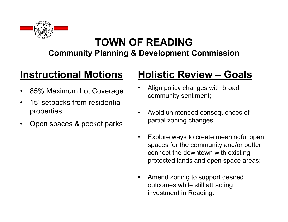

**Community Planning & Development Commission**

#### **Instructional Motions**

- $\bullet$ 85% Maximum Lot Coverage
- $\bullet$  15' setbacks from residential properties
- $\bullet$ Open spaces & pocket parks

# **Holistic Review – Goals**

- • Align policy changes with broad community sentiment;
- • Avoid unintended consequences of partial zoning changes;
- • Explore ways to create meaningful open spaces for the community and/or better connect the downtown with existing protected lands and open space areas;
- • Amend zoning to support desired outcomes while still attracting investment in Reading.